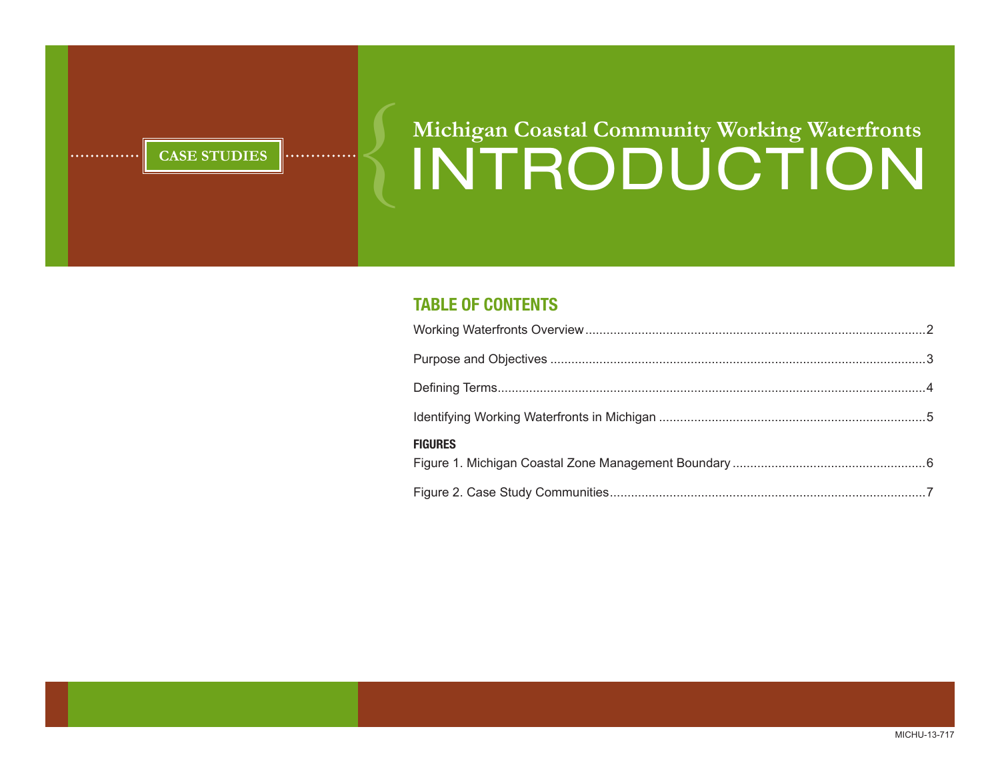# **CASE STUDIES** Wichigan Coastal Community Working Waterfronts **Michigan Coastal Community Working Waterfronts**

### **Table of Contents**

| <b>FIGURES</b> |  |
|----------------|--|
|                |  |

MICHU-13-717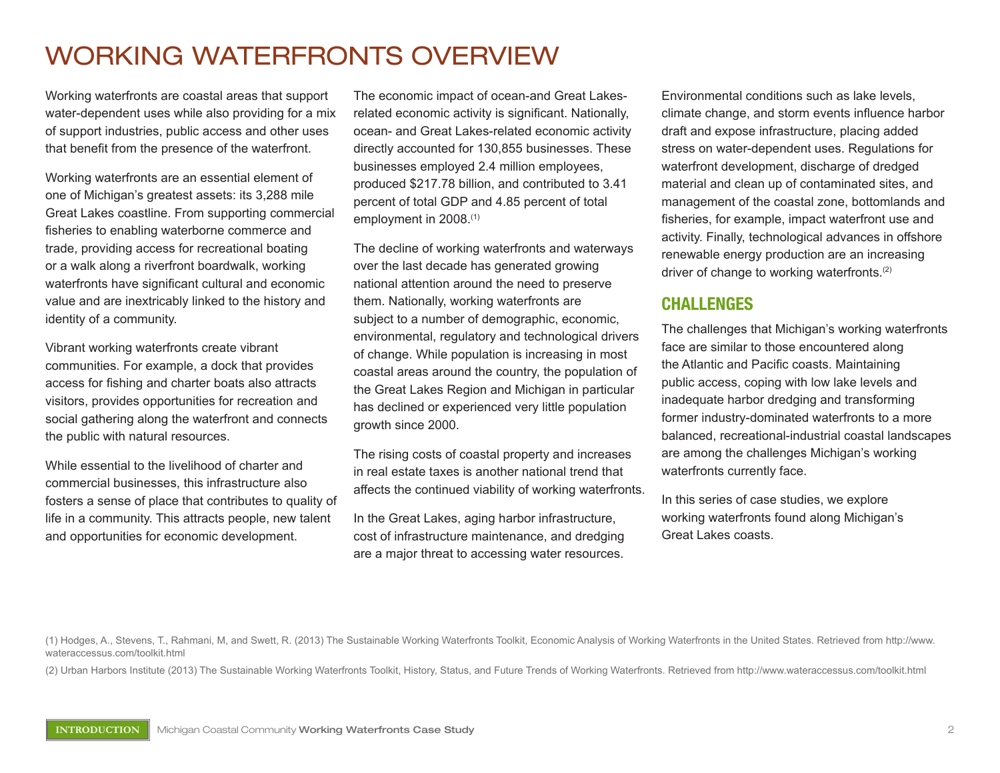### WORKING WATERFRONTS OVERVIEW

Working waterfronts are coastal areas that support water-dependent uses while also providing for a mix of support industries, public access and other uses that benefit from the presence of the waterfront.

Working waterfronts are an essential element of one of Michigan's greatest assets: its 3,288 mile Great Lakes coastline. From supporting commercial fisheries to enabling waterborne commerce and trade, providing access for recreational boating or a walk along a riverfront boardwalk, working waterfronts have significant cultural and economic value and are inextricably linked to the history and identity of a community.

Vibrant working waterfronts create vibrant communities. For example, a dock that provides access for fishing and charter boats also attracts visitors, provides opportunities for recreation and social gathering along the waterfront and connects the public with natural resources.

While essential to the livelihood of charter and commercial businesses, this infrastructure also fosters a sense of place that contributes to quality of life in a community. This attracts people, new talent and opportunities for economic development.

The economic impact of ocean-and Great Lakesrelated economic activity is significant. Nationally, ocean- and Great Lakes-related economic activity directly accounted for 130,855 businesses. These businesses employed 2.4 million employees, produced \$217.78 billion, and contributed to 3.41 percent of total GDP and 4.85 percent of total employment in 2008.(1)

The decline of working waterfronts and waterways over the last decade has generated growing national attention around the need to preserve them. Nationally, working waterfronts are subject to a number of demographic, economic, environmental, regulatory and technological drivers of change. While population is increasing in most coastal areas around the country, the population of the Great Lakes Region and Michigan in particular has declined or experienced very little population growth since 2000.

The rising costs of coastal property and increases in real estate taxes is another national trend that affects the continued viability of working waterfronts.

In the Great Lakes, aging harbor infrastructure, cost of infrastructure maintenance, and dredging are a major threat to accessing water resources. Environmental conditions such as lake levels, climate change, and storm events influence harbor draft and expose infrastructure, placing added stress on water-dependent uses. Regulations for waterfront development, discharge of dredged material and clean up of contaminated sites, and management of the coastal zone, bottomlands and fisheries, for example, impact waterfront use and activity. Finally, technological advances in offshore renewable energy production are an increasing driver of change to working waterfronts.(2)

#### **Challenges**

The challenges that Michigan's working waterfronts face are similar to those encountered along the Atlantic and Pacific coasts. Maintaining public access, coping with low lake levels and inadequate harbor dredging and transforming former industry-dominated waterfronts to a more balanced, recreational-industrial coastal landscapes are among the challenges Michigan's working waterfronts currently face.

In this series of case studies, we explore working waterfronts found along Michigan's Great Lakes coasts.

(1) Hodges, A., Stevens, T., Rahmani, M, and Swett, R. (2013) The Sustainable Working Waterfronts Toolkit, Economic Analysis of Working Waterfronts in the United States. Retrieved from http://www. wateraccessus.com/toolkit.html

(2) Urban Harbors Institute (2013) The Sustainable Working Waterfronts Toolkit, History, Status, and Future Trends of Working Waterfronts. Retrieved from http://www.wateraccessus.com/toolkit.html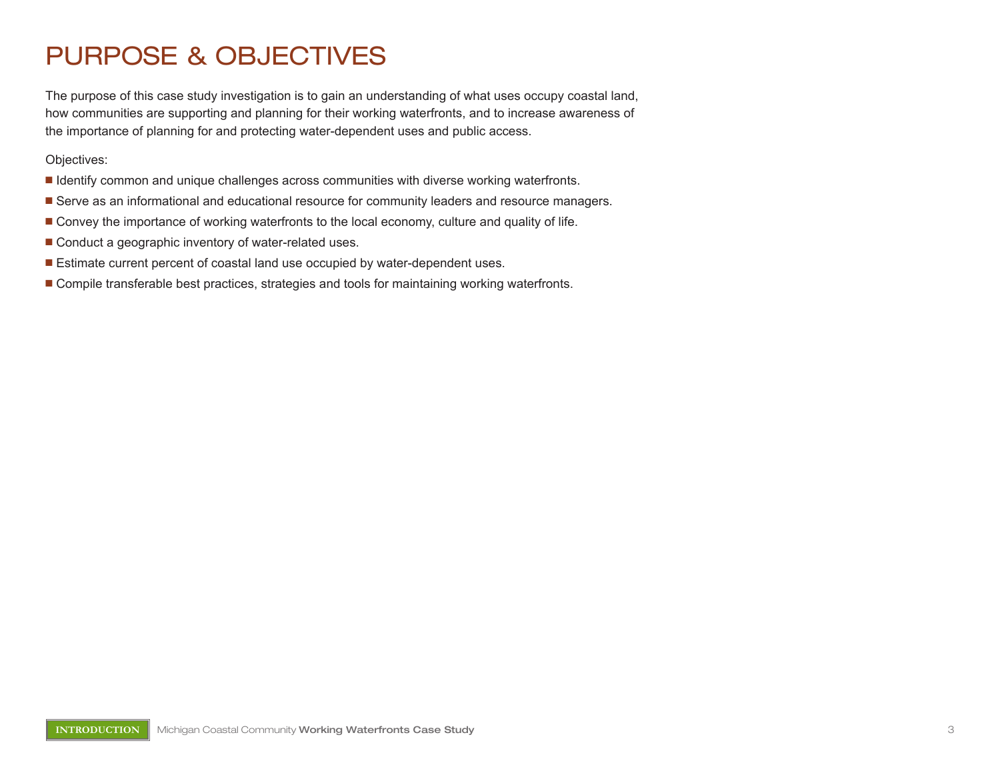### PURPOSE & OBJECTIVES

The purpose of this case study investigation is to gain an understanding of what uses occupy coastal land, how communities are supporting and planning for their working waterfronts, and to increase awareness of the importance of planning for and protecting water-dependent uses and public access.

Objectives:

- **If Identify common and unique challenges across communities with diverse working waterfronts.**
- Serve as an informational and educational resource for community leaders and resource managers.
- **n** Convey the importance of working waterfronts to the local economy, culture and quality of life.
- Conduct a geographic inventory of water-related uses.
- Estimate current percent of coastal land use occupied by water-dependent uses.
- **n** Compile transferable best practices, strategies and tools for maintaining working waterfronts.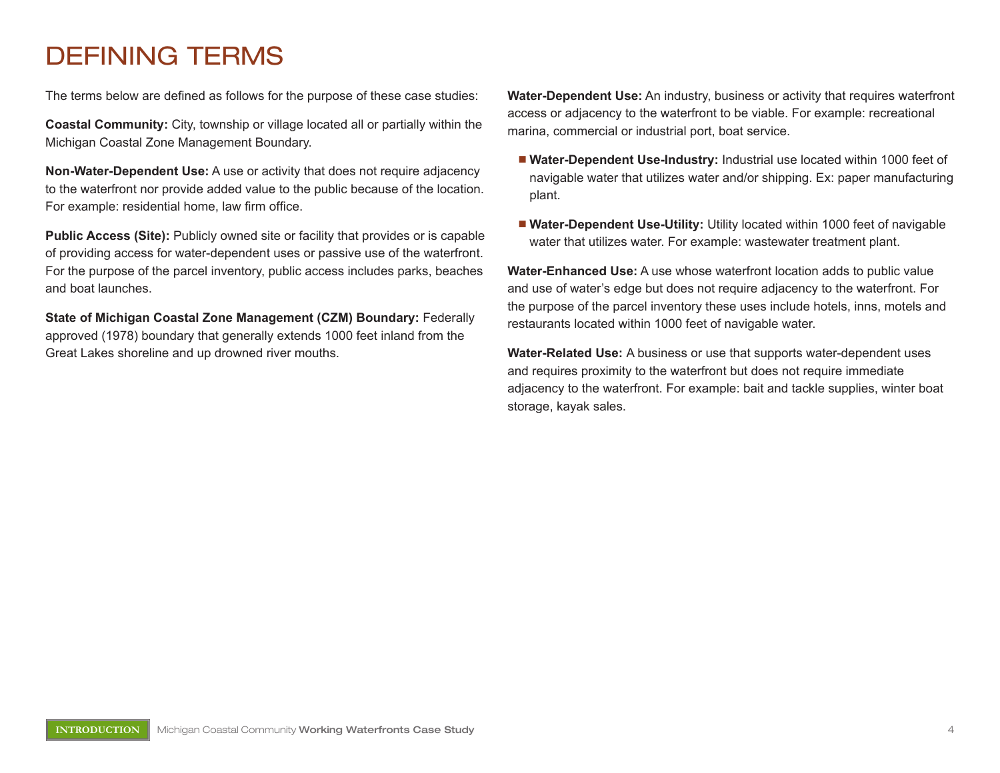### Defining Terms

The terms below are defined as follows for the purpose of these case studies:

**Coastal Community:** City, township or village located all or partially within the Michigan Coastal Zone Management Boundary.

**Non-Water-Dependent Use:** A use or activity that does not require adjacency to the waterfront nor provide added value to the public because of the location. For example: residential home, law firm office.

**Public Access (Site):** Publicly owned site or facility that provides or is capable of providing access for water-dependent uses or passive use of the waterfront. For the purpose of the parcel inventory, public access includes parks, beaches and boat launches.

**State of Michigan Coastal Zone Management (CZM) Boundary:** Federally approved (1978) boundary that generally extends 1000 feet inland from the Great Lakes shoreline and up drowned river mouths.

**Water-Dependent Use:** An industry, business or activity that requires waterfront access or adjacency to the waterfront to be viable. For example: recreational marina, commercial or industrial port, boat service.

- **Nater-Dependent Use-Industry: Industrial use located within 1000 feet of** navigable water that utilizes water and/or shipping. Ex: paper manufacturing plant.
- **Nater-Dependent Use-Utility:** Utility located within 1000 feet of navigable water that utilizes water. For example: wastewater treatment plant.

**Water-Enhanced Use:** A use whose waterfront location adds to public value and use of water's edge but does not require adjacency to the waterfront. For the purpose of the parcel inventory these uses include hotels, inns, motels and restaurants located within 1000 feet of navigable water.

**Water-Related Use:** A business or use that supports water-dependent uses and requires proximity to the waterfront but does not require immediate adjacency to the waterfront. For example: bait and tackle supplies, winter boat storage, kayak sales.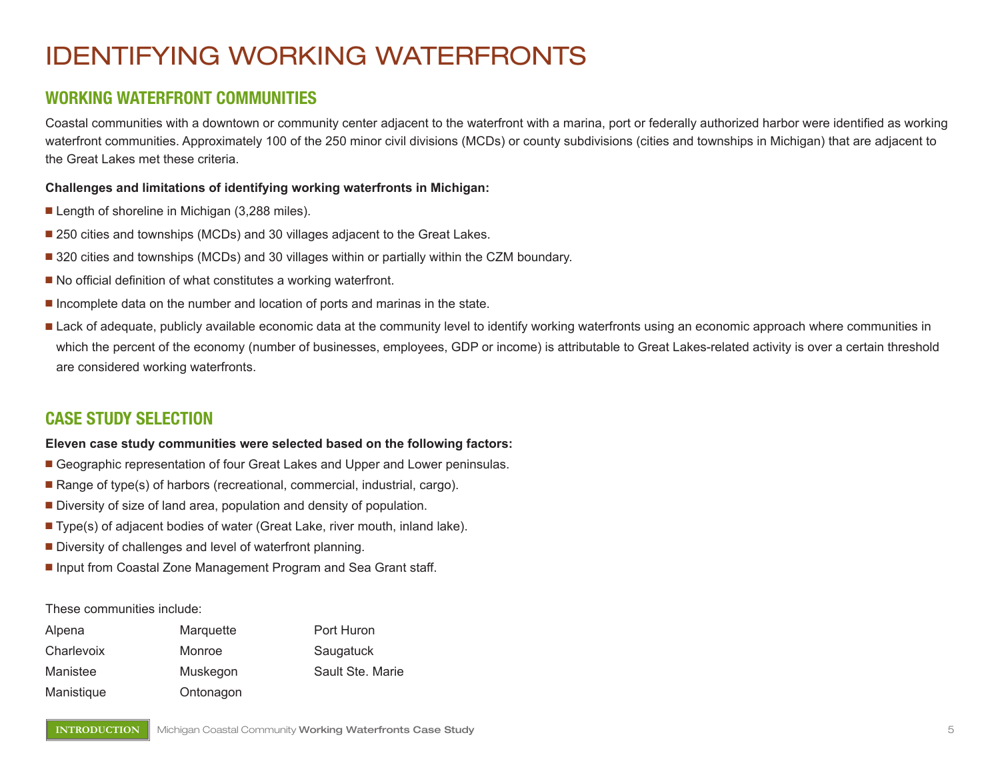## Identifying Working Waterfronts

#### **Working waterfront communities**

Coastal communities with a downtown or community center adjacent to the waterfront with a marina, port or federally authorized harbor were identified as working waterfront communities. Approximately 100 of the 250 minor civil divisions (MCDs) or county subdivisions (cities and townships in Michigan) that are adjacent to the Great Lakes met these criteria.

#### **Challenges and limitations of identifying working waterfronts in Michigan:**

- $\blacksquare$  Length of shoreline in Michigan (3,288 miles).
- 250 cities and townships (MCDs) and 30 villages adjacent to the Great Lakes.
- 320 cities and townships (MCDs) and 30 villages within or partially within the CZM boundary.
- $\blacksquare$  No official definition of what constitutes a working waterfront.
- **n** Incomplete data on the number and location of ports and marinas in the state.
- Lack of adequate, publicly available economic data at the community level to identify working waterfronts using an economic approach where communities in which the percent of the economy (number of businesses, employees, GDP or income) is attributable to Great Lakes-related activity is over a certain threshold are considered working waterfronts.

#### **Case Study Selection**

#### **Eleven case study communities were selected based on the following factors:**

- Geographic representation of four Great Lakes and Upper and Lower peninsulas.
- **n** Range of type(s) of harbors (recreational, commercial, industrial, cargo).
- $\blacksquare$  Diversity of size of land area, population and density of population.
- Type(s) of adjacent bodies of water (Great Lake, river mouth, inland lake).
- $\blacksquare$  Diversity of challenges and level of waterfront planning.
- Input from Coastal Zone Management Program and Sea Grant staff.

#### These communities include:

| Alpena     | Marquette | Port Huron       |
|------------|-----------|------------------|
| Charlevoix | Monroe    | Saugatuck        |
| Manistee   | Muskegon  | Sault Ste. Marie |
| Manistique | Ontonagon |                  |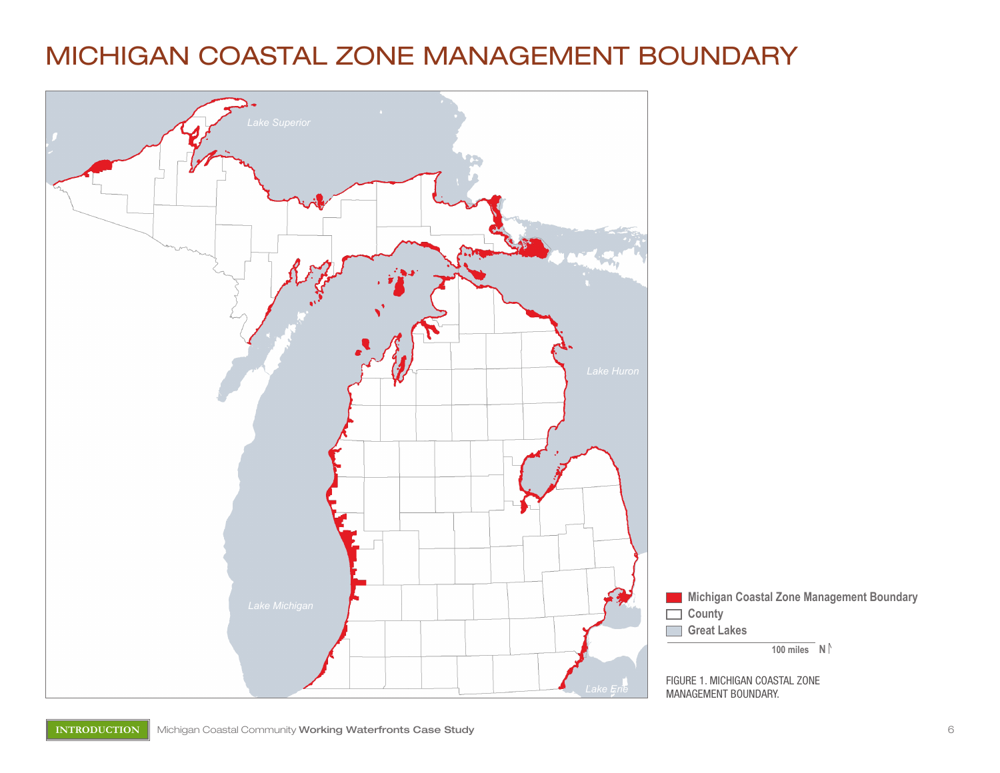### Michigan Coastal Zone Management Boundary